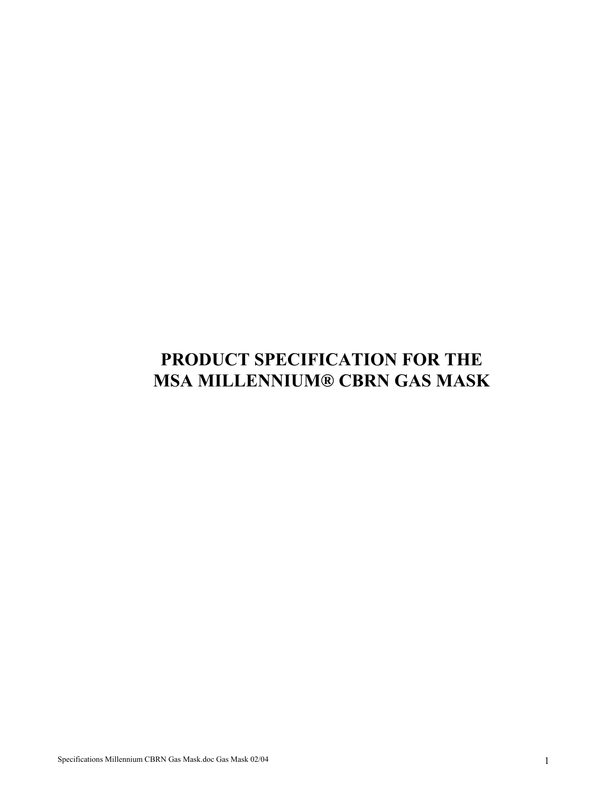# **PRODUCT SPECIFICATION FOR THE MSA MILLENNIUM® CBRN GAS MASK**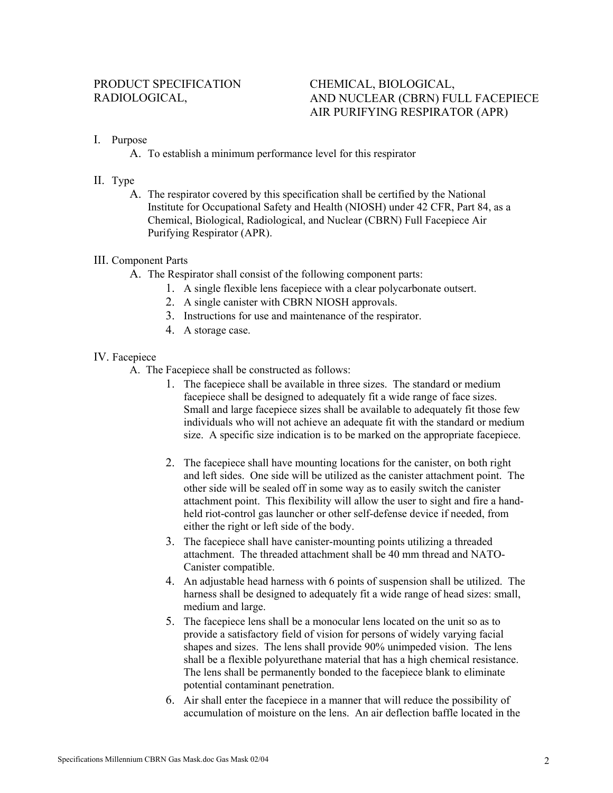## RADIOLOGICAL, AND NUCLEAR (CBRN) FULL FACEPIECE AIR PURIFYING RESPIRATOR (APR)

## I. Purpose

A. To establish a minimum performance level for this respirator

## II. Type

A. The respirator covered by this specification shall be certified by the National Institute for Occupational Safety and Health (NIOSH) under 42 CFR, Part 84, as a Chemical, Biological, Radiological, and Nuclear (CBRN) Full Facepiece Air Purifying Respirator (APR).

## III. Com ponent Parts

- A. The Respirator shall consist of the following component parts:
	- 1. A single flexible lens facepiece with a clear polycarbonate outsert.
	- 2. A single canister with CBRN NIOSH approvals.
	- 3. Instructions for use and maintenance of the respirator.
	- 4. A storage case.

## IV. Facepiece

- A. The Facepiece shall be constructed as follows:
	- 1. The facepiece shall be available in three sizes. The standard or medium Small and large facepiece sizes shall be available to adequately fit those few facepiece shall be designed to adequately fit a wide range of face sizes. individuals who will not achieve an adequate fit with the standard or medium size. A specific size indication is to be marked on the appropriate facepiece.
	- 2. The facepiece shall have mounting locations for the canister, on both right and left sides. One side will be utilized as the canister attachment point. The other side will be sealed off in some way as to easily switch the canister attachment point. This flexibility will allow the user to sight and fire a handheld riot-control gas launcher or other self-defense device if needed, from either the right or left side of the body.
	- 3. The facepiece shall have canister-mounting points utilizing a threaded attachment. The threaded attachment shall be 40 mm thread and NATO-Canister compatible.
	- 4. An adjustable head harness with 6 points of suspension shall be utilized. The harness shall be designed to adequately fit a wide range of head sizes: small, medium and large.
	- 5. The facepiece lens shall be a monocular lens located on the unit so as to provide a satisfactory field of vision for persons of widely varying facial shapes and sizes. The lens shall provide 90% unimpeded vision. The lens shall be a flexible polyurethane material that has a high chemical resistance. The lens shall be permanently bonded to the facepiece blank to eliminate potential contaminant penetration.
	- 6. Air shall enter the facepiece in a manner that will reduce the possibility of accumulation of moisture on the lens. An air deflection baffle located in the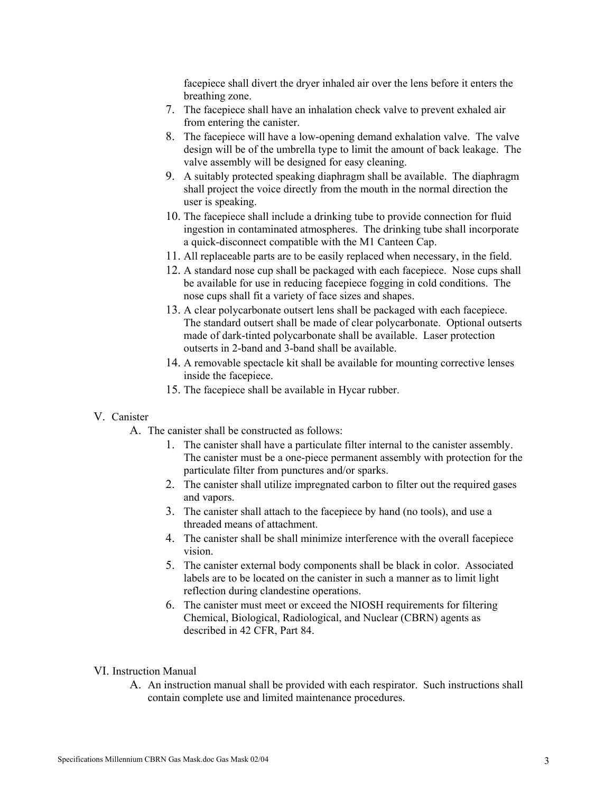facepiece shall divert the dryer inhaled air over the lens before it enters the breathing zone.

- 7. The facepiece shall have an inhalation check valve to prevent exhaled air from entering the canister.
- 8. The facepiece will have a low-opening demand exhalation valve. The valve design will be of the umbrella type to limit the amount of back leakage. The valve assembly will be designed for easy cleaning.
- 9. A suitably protected speaking diaphragm shall be available. The diaphragm shall project the voice directly from the mouth in the normal direction the user is speaking.
- 10. The facepiece shall include a drinking tube to provide connection for fluid ingestion in contaminated atmospheres. The drinking tube shall incorporate a quick-disconnect compatible with the M1 Canteen Cap.
- 11. All replaceable parts are to be easily replaced when necessary, in the field.
- 12. A standard nose cup shall be packaged with each facepiece. Nose cups shall be available for use in reducing facepiece fogging in cold conditions. The nose cups shall fit a variety of face sizes and shapes.
- 13. A clear polycarbonate outsert lens shall be packaged with each facepiece. The standard outsert shall be made of clear polycarbonate. Optional outserts made of dark-tinted polycarbonate shall be available. Laser protection outserts in 2-band and 3-band shall be available.
- 14. A removable spectacle kit shall be available for mounting corrective lenses inside the facepiece.
- 15. The facepiece shall be available in Hycar rubber.

#### V. Canister

- A. The canister shall be constructed as follows:
	- 1. The canister shall have a particulate filter internal to the canister assembly. The canister must be a one-piece permanent assembly with protection for the particulate filter from punctures and/or sparks.
	- 2. The canister shall utilize impregnated carbon to filter out the required gases and vapors.
	- 3. The canister shall attach to the facepiece by hand (no tools), and use a threaded means of attachment.
	- 4. The canister shall be shall minimize interference with the overall facepiece vision.
	- 5. The canister external body components shall be black in color. Associated labels are to be located on the canister in such a manner as to limit light reflection during clandestine operations.
	- 6. The canister must meet or exceed the NIOSH requirements for filteri ng Chemical, Biological, Radiological, and Nuclear (CBRN) agents as described in 42 CFR, Part 84.

#### VI. Inst ruction Manual

A. An instruction manual shall be provided with each respirator. Such instructions shall contain complete use and limited maintenance procedures.